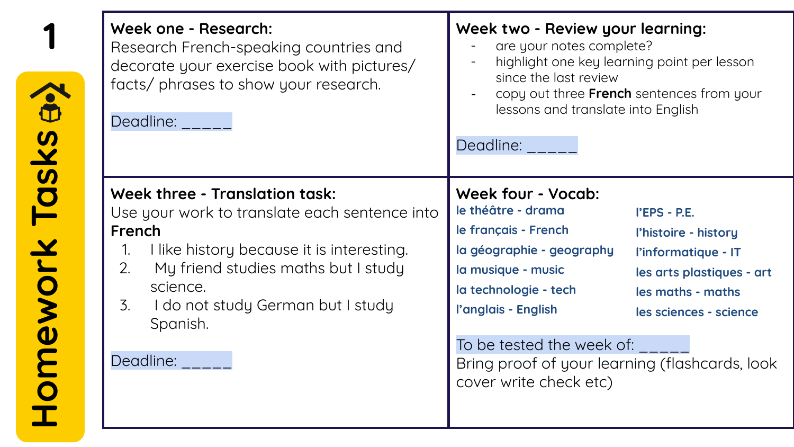|                  | Week one - Research:<br>Research French-speaking countries and<br>decorate your exercise book with pictures/<br>facts/ phrases to show your research.<br>Deadline: <b>Deadline</b>                                                                                              | Week two - Review your learning:<br>are your notes complete?<br>highlight one key learning point per lesson<br>since the last review<br>copy out three French sentences from your<br>lessons and translate into English<br>Deadline:                                                                                                                                                                                           |
|------------------|---------------------------------------------------------------------------------------------------------------------------------------------------------------------------------------------------------------------------------------------------------------------------------|--------------------------------------------------------------------------------------------------------------------------------------------------------------------------------------------------------------------------------------------------------------------------------------------------------------------------------------------------------------------------------------------------------------------------------|
| omework Tasks a. | Week three - Translation task:<br>Use your work to translate each sentence into<br>French<br>I like history because it is interesting.<br>1.<br>My friend studies maths but I study<br>2.<br>science.<br>I do not study German but I study<br>3.<br>Spanish.<br>Deadline: _____ | <b>Week four - Vocab:</b><br>le théâtre - drama<br>l'EPS - P.E.<br>le français - French<br>l'histoire - history<br>la géographie - geography<br>l'informatique - IT<br>la musique - music<br>les arts plastiques - art<br>la technologie - tech<br>les maths - maths<br>l'anglais - English<br>les sciences - science<br>To be tested the week of:<br>Bring proof of your learning (flashcards, look<br>cover write check etc) |

Homework Tasks a>>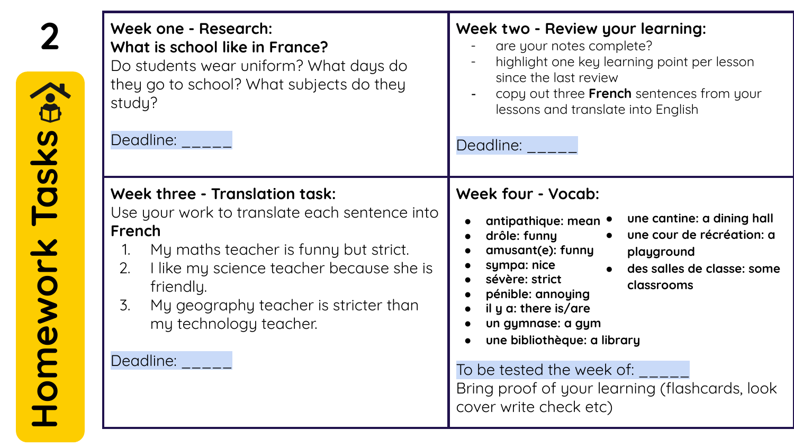| $\bigodot$    | Week one - Research:<br>What is school like in France?<br>Do students wear uniform? What days do<br>they go to school? What subjects do they<br>study?<br>Deadline:                                                                                                                     | Week two - Review your learning:<br>are your notes complete?<br>highlight one key learning point per lesson<br>since the last review<br>copy out three French sentences from your<br>lessons and translate into English<br>Deadline:                                                                                                                                                                                                            |
|---------------|-----------------------------------------------------------------------------------------------------------------------------------------------------------------------------------------------------------------------------------------------------------------------------------------|-------------------------------------------------------------------------------------------------------------------------------------------------------------------------------------------------------------------------------------------------------------------------------------------------------------------------------------------------------------------------------------------------------------------------------------------------|
| omework Tasks | Week three - Translation task:<br>Use your work to translate each sentence into<br>French<br>My maths teacher is funny but strict.<br>I like my science teacher because she is<br>2.<br>friendly.<br>My geography teacher is stricter than<br>3.<br>my technology teacher.<br>Deadline: | Week four - Vocab:<br>une cantine: a dining hall<br>antipathique: mean •<br>une cour de récréation: a<br>drôle: funny<br>amusant(e): funny<br>playground<br>sympa: nice<br>des salles de classe: some<br>sévère: strict<br>classrooms<br>pénible: annoying<br>il y a: there is/are<br>un gymnase: a gym<br>une bibliothèque: a library<br>To be tested the week of:<br>Bring proof of your learning (flashcards, look<br>cover write check etc) |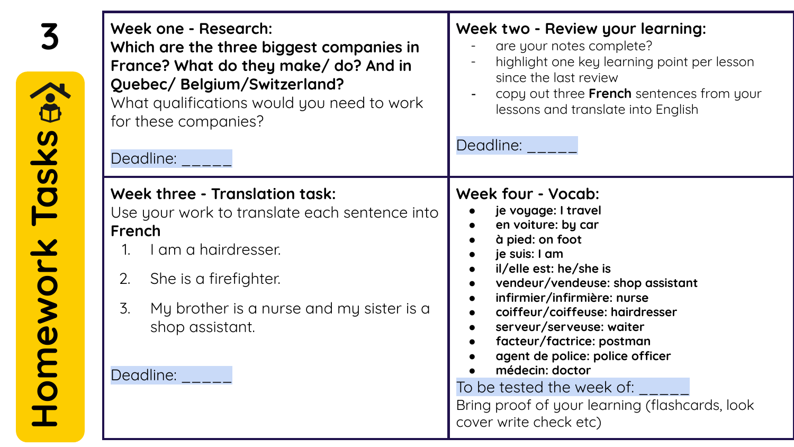|                       | Week one - Research:<br>Which are the three biggest companies in<br>France? What do they make/ do? And in<br>Quebec/ Belgium/Switzerland?<br>What qualifications would you need to work<br>for these companies?<br>Deadline: _____             | Week two - Review your learning:<br>are your notes complete?<br>highlight one key learning point per lesson<br>since the last review<br>copy out three French sentences from your<br>lessons and translate into English<br>Deadline:                                                                                                                                                                                                                                       |
|-----------------------|------------------------------------------------------------------------------------------------------------------------------------------------------------------------------------------------------------------------------------------------|----------------------------------------------------------------------------------------------------------------------------------------------------------------------------------------------------------------------------------------------------------------------------------------------------------------------------------------------------------------------------------------------------------------------------------------------------------------------------|
| <b>Homework Tasks</b> | Week three - Translation task:<br>Use your work to translate each sentence into<br>French<br>I am a hairdresser.<br>2.<br>She is a firefighter.<br>$\mathcal{Z}$ .<br>My brother is a nurse and my sister is a<br>shop assistant.<br>Deadline: | Week four - Vocab:<br>je voyage: I travel<br>en voiture: by car<br>à pied: on foot<br>je suis: I am<br>il/elle est: he/she is<br>vendeur/vendeuse: shop assistant<br>infirmier/infirmière: nurse<br>coiffeur/coiffeuse: hairdresser<br>$\bullet$<br>serveur/serveuse: waiter<br>facteur/factrice: postman<br>agent de police: police officer<br>médecin: doctor<br>To be tested the week of: '<br>Bring proof of your learning (flashcards, look<br>cover write check etc) |